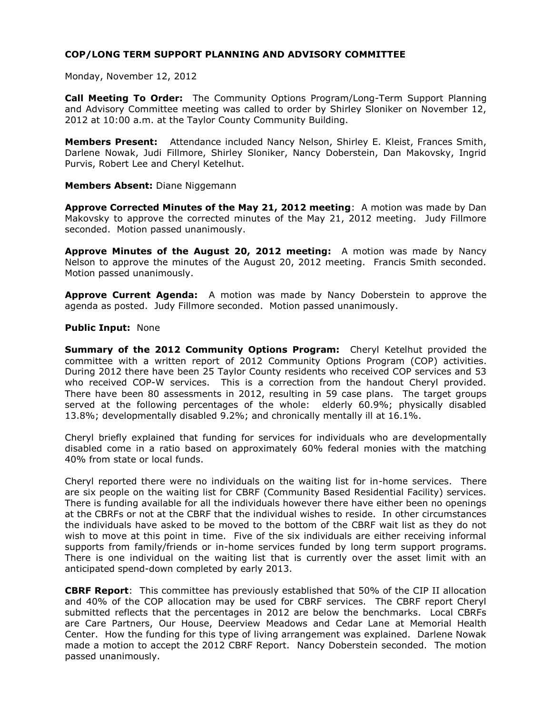Monday, November 12, 2012

**Call Meeting To Order:** The Community Options Program/Long-Term Support Planning and Advisory Committee meeting was called to order by Shirley Sloniker on November 12, 2012 at 10:00 a.m. at the Taylor County Community Building.

**Members Present:** Attendance included Nancy Nelson, Shirley E. Kleist, Frances Smith, Darlene Nowak, Judi Fillmore, Shirley Sloniker, Nancy Doberstein, Dan Makovsky, Ingrid Purvis, Robert Lee and Cheryl Ketelhut.

### **Members Absent:** Diane Niggemann

**Approve Corrected Minutes of the May 21, 2012 meeting**: A motion was made by Dan Makovsky to approve the corrected minutes of the May 21, 2012 meeting. Judy Fillmore seconded. Motion passed unanimously.

**Approve Minutes of the August 20, 2012 meeting:** A motion was made by Nancy Nelson to approve the minutes of the August 20, 2012 meeting. Francis Smith seconded. Motion passed unanimously.

**Approve Current Agenda:** A motion was made by Nancy Doberstein to approve the agenda as posted. Judy Fillmore seconded. Motion passed unanimously.

#### **Public Input:** None

**Summary of the 2012 Community Options Program:** Cheryl Ketelhut provided the committee with a written report of 2012 Community Options Program (COP) activities. During 2012 there have been 25 Taylor County residents who received COP services and 53 who received COP-W services. This is a correction from the handout Cheryl provided. There have been 80 assessments in 2012, resulting in 59 case plans. The target groups served at the following percentages of the whole: elderly 60.9%; physically disabled 13.8%; developmentally disabled 9.2%; and chronically mentally ill at 16.1%.

Cheryl briefly explained that funding for services for individuals who are developmentally disabled come in a ratio based on approximately 60% federal monies with the matching 40% from state or local funds.

Cheryl reported there were no individuals on the waiting list for in-home services. There are six people on the waiting list for CBRF (Community Based Residential Facility) services. There is funding available for all the individuals however there have either been no openings at the CBRFs or not at the CBRF that the individual wishes to reside. In other circumstances the individuals have asked to be moved to the bottom of the CBRF wait list as they do not wish to move at this point in time. Five of the six individuals are either receiving informal supports from family/friends or in-home services funded by long term support programs. There is one individual on the waiting list that is currently over the asset limit with an anticipated spend-down completed by early 2013.

**CBRF Report**: This committee has previously established that 50% of the CIP II allocation and 40% of the COP allocation may be used for CBRF services. The CBRF report Cheryl submitted reflects that the percentages in 2012 are below the benchmarks. Local CBRFs are Care Partners, Our House, Deerview Meadows and Cedar Lane at Memorial Health Center. How the funding for this type of living arrangement was explained. Darlene Nowak made a motion to accept the 2012 CBRF Report. Nancy Doberstein seconded. The motion passed unanimously.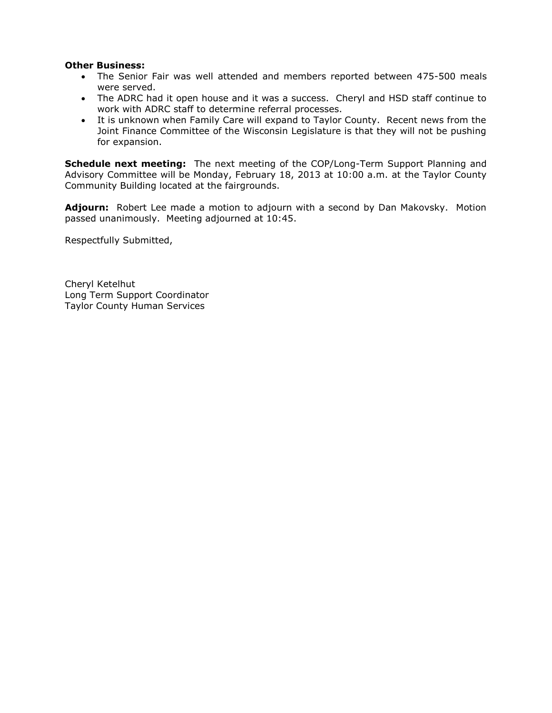### **Other Business:**

- The Senior Fair was well attended and members reported between 475-500 meals were served.
- The ADRC had it open house and it was a success. Cheryl and HSD staff continue to work with ADRC staff to determine referral processes.
- It is unknown when Family Care will expand to Taylor County. Recent news from the Joint Finance Committee of the Wisconsin Legislature is that they will not be pushing for expansion.

**Schedule next meeting:** The next meeting of the COP/Long-Term Support Planning and Advisory Committee will be Monday, February 18, 2013 at 10:00 a.m. at the Taylor County Community Building located at the fairgrounds.

**Adjourn:** Robert Lee made a motion to adjourn with a second by Dan Makovsky. Motion passed unanimously. Meeting adjourned at 10:45.

Respectfully Submitted,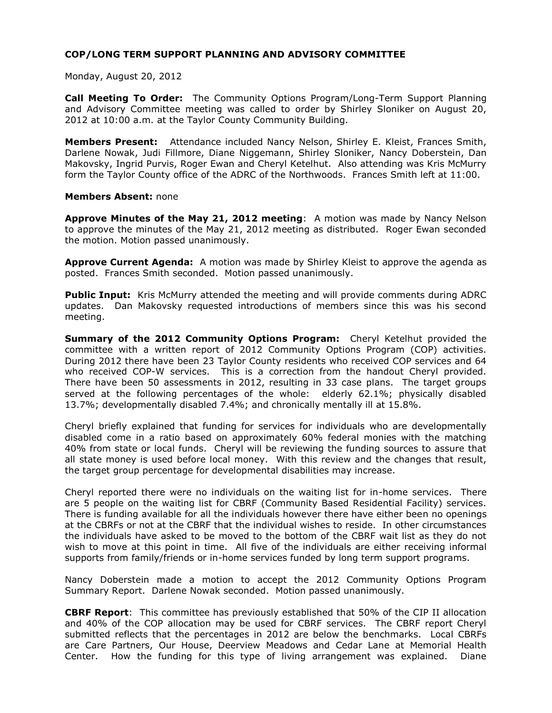Monday, August 20, 2012

**Call Meeting To Order:** The Community Options Program/Long-Term Support Planning and Advisory Committee meeting was called to order by Shirley Sloniker on August 20, 2012 at 10:00 a.m. at the Taylor County Community Building.

**Members Present:** Attendance included Nancy Nelson, Shirley E. Kleist, Frances Smith, Darlene Nowak, Judi Fillmore, Diane Niggemann, Shirley Sloniker, Nancy Doberstein, Dan Makovsky, Ingrid Purvis, Roger Ewan and Cheryl Ketelhut. Also attending was Kris McMurry form the Taylor County office of the ADRC of the Northwoods. Frances Smith left at 11:00.

#### **Members Absent:** none

**Approve Minutes of the May 21, 2012 meeting**: A motion was made by Nancy Nelson to approve the minutes of the May 21, 2012 meeting as distributed. Roger Ewan seconded the motion. Motion passed unanimously.

**Approve Current Agenda:** A motion was made by Shirley Kleist to approve the agenda as posted. Frances Smith seconded. Motion passed unanimously.

**Public Input:** Kris McMurry attended the meeting and will provide comments during ADRC updates. Dan Makovsky requested introductions of members since this was his second meeting.

**Summary of the 2012 Community Options Program:** Cheryl Ketelhut provided the committee with a written report of 2012 Community Options Program (COP) activities. During 2012 there have been 23 Taylor County residents who received COP services and 64 who received COP-W services. This is a correction from the handout Cheryl provided. There have been 50 assessments in 2012, resulting in 33 case plans. The target groups served at the following percentages of the whole: elderly 62.1%; physically disabled 13.7%; developmentally disabled 7.4%; and chronically mentally ill at 15.8%.

Cheryl briefly explained that funding for services for individuals who are developmentally disabled come in a ratio based on approximately 60% federal monies with the matching 40% from state or local funds. Cheryl will be reviewing the funding sources to assure that all state money is used before local money. With this review and the changes that result, the target group percentage for developmental disabilities may increase.

Cheryl reported there were no individuals on the waiting list for in-home services. There are 5 people on the waiting list for CBRF (Community Based Residential Facility) services. There is funding available for all the individuals however there have either been no openings at the CBRFs or not at the CBRF that the individual wishes to reside. In other circumstances the individuals have asked to be moved to the bottom of the CBRF wait list as they do not wish to move at this point in time. All five of the individuals are either receiving informal supports from family/friends or in-home services funded by long term support programs.

Nancy Doberstein made a motion to accept the 2012 Community Options Program Summary Report. Darlene Nowak seconded. Motion passed unanimously.

**CBRF Report**: This committee has previously established that 50% of the CIP II allocation and 40% of the COP allocation may be used for CBRF services. The CBRF report Cheryl submitted reflects that the percentages in 2012 are below the benchmarks. Local CBRFs are Care Partners, Our House, Deerview Meadows and Cedar Lane at Memorial Health Center. How the funding for this type of living arrangement was explained. Diane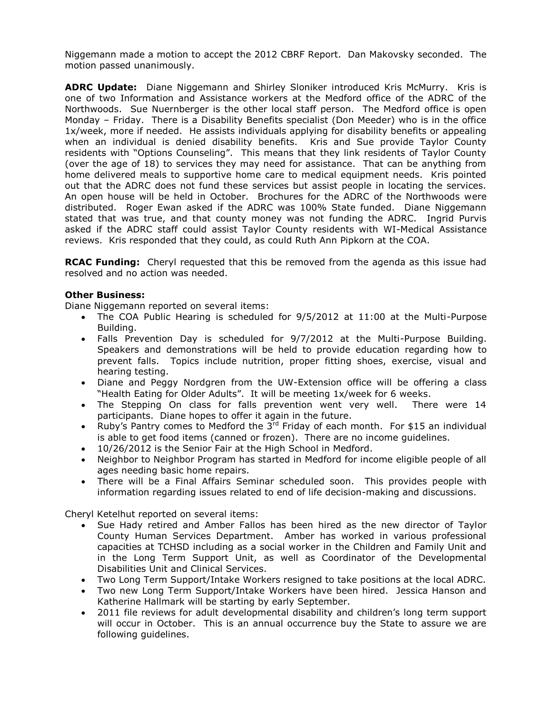Niggemann made a motion to accept the 2012 CBRF Report. Dan Makovsky seconded. The motion passed unanimously.

**ADRC Update:** Diane Niggemann and Shirley Sloniker introduced Kris McMurry. Kris is one of two Information and Assistance workers at the Medford office of the ADRC of the Northwoods. Sue Nuernberger is the other local staff person. The Medford office is open Monday – Friday. There is a Disability Benefits specialist (Don Meeder) who is in the office 1x/week, more if needed. He assists individuals applying for disability benefits or appealing when an individual is denied disability benefits. Kris and Sue provide Taylor County residents with "Options Counseling". This means that they link residents of Taylor County (over the age of 18) to services they may need for assistance. That can be anything from home delivered meals to supportive home care to medical equipment needs. Kris pointed out that the ADRC does not fund these services but assist people in locating the services. An open house will be held in October. Brochures for the ADRC of the Northwoods were distributed. Roger Ewan asked if the ADRC was 100% State funded. Diane Niggemann stated that was true, and that county money was not funding the ADRC. Ingrid Purvis asked if the ADRC staff could assist Taylor County residents with WI-Medical Assistance reviews. Kris responded that they could, as could Ruth Ann Pipkorn at the COA.

**RCAC Funding:** Cheryl requested that this be removed from the agenda as this issue had resolved and no action was needed.

## **Other Business:**

Diane Niggemann reported on several items:

- The COA Public Hearing is scheduled for 9/5/2012 at 11:00 at the Multi-Purpose Building.
- Falls Prevention Day is scheduled for 9/7/2012 at the Multi-Purpose Building. Speakers and demonstrations will be held to provide education regarding how to prevent falls. Topics include nutrition, proper fitting shoes, exercise, visual and hearing testing.
- Diane and Peggy Nordgren from the UW-Extension office will be offering a class "Health Eating for Older Adults". It will be meeting 1x/week for 6 weeks.
- The Stepping On class for falls prevention went very well. There were 14 participants. Diane hopes to offer it again in the future.
- Ruby's Pantry comes to Medford the  $3^{rd}$  Friday of each month. For \$15 an individual is able to get food items (canned or frozen). There are no income guidelines.
- 10/26/2012 is the Senior Fair at the High School in Medford.
- Neighbor to Neighbor Program has started in Medford for income eligible people of all ages needing basic home repairs.
- There will be a Final Affairs Seminar scheduled soon. This provides people with information regarding issues related to end of life decision-making and discussions.

Cheryl Ketelhut reported on several items:

- Sue Hady retired and Amber Fallos has been hired as the new director of Taylor County Human Services Department. Amber has worked in various professional capacities at TCHSD including as a social worker in the Children and Family Unit and in the Long Term Support Unit, as well as Coordinator of the Developmental Disabilities Unit and Clinical Services.
- Two Long Term Support/Intake Workers resigned to take positions at the local ADRC.
- Two new Long Term Support/Intake Workers have been hired. Jessica Hanson and Katherine Hallmark will be starting by early September.
- 2011 file reviews for adult developmental disability and children's long term support will occur in October. This is an annual occurrence buy the State to assure we are following guidelines.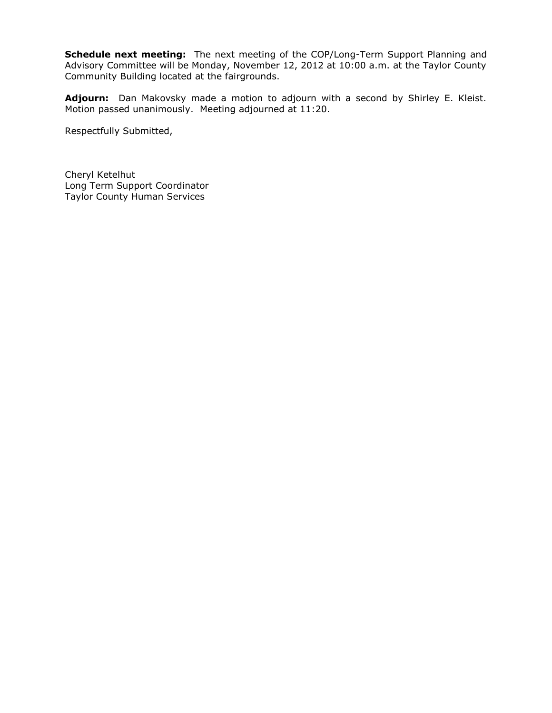**Schedule next meeting:** The next meeting of the COP/Long-Term Support Planning and Advisory Committee will be Monday, November 12, 2012 at 10:00 a.m. at the Taylor County Community Building located at the fairgrounds.

**Adjourn:** Dan Makovsky made a motion to adjourn with a second by Shirley E. Kleist. Motion passed unanimously. Meeting adjourned at 11:20.

Respectfully Submitted,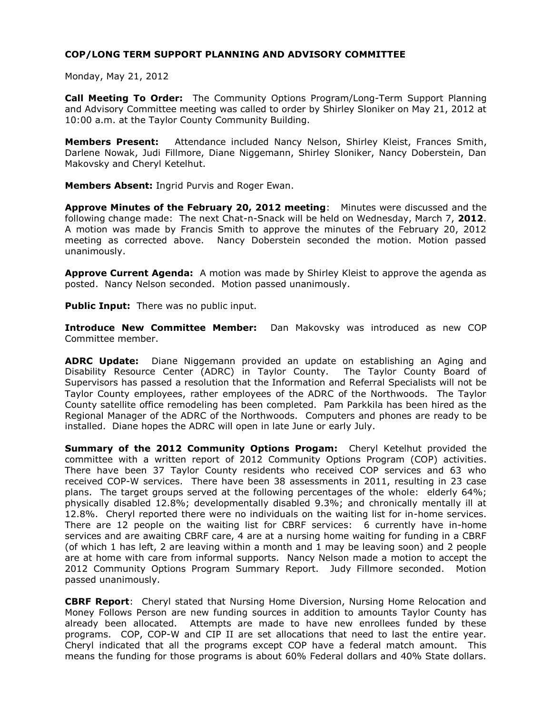Monday, May 21, 2012

**Call Meeting To Order:** The Community Options Program/Long-Term Support Planning and Advisory Committee meeting was called to order by Shirley Sloniker on May 21, 2012 at 10:00 a.m. at the Taylor County Community Building.

**Members Present:** Attendance included Nancy Nelson, Shirley Kleist, Frances Smith, Darlene Nowak, Judi Fillmore, Diane Niggemann, Shirley Sloniker, Nancy Doberstein, Dan Makovsky and Cheryl Ketelhut.

**Members Absent:** Ingrid Purvis and Roger Ewan.

**Approve Minutes of the February 20, 2012 meeting**: Minutes were discussed and the following change made: The next Chat-n-Snack will be held on Wednesday, March 7, **2012**. A motion was made by Francis Smith to approve the minutes of the February 20, 2012 meeting as corrected above. Nancy Doberstein seconded the motion. Motion passed unanimously.

**Approve Current Agenda:** A motion was made by Shirley Kleist to approve the agenda as posted. Nancy Nelson seconded. Motion passed unanimously.

**Public Input:** There was no public input.

**Introduce New Committee Member:** Dan Makovsky was introduced as new COP Committee member.

**ADRC Update:** Diane Niggemann provided an update on establishing an Aging and Disability Resource Center (ADRC) in Taylor County. The Taylor County Board of Supervisors has passed a resolution that the Information and Referral Specialists will not be Taylor County employees, rather employees of the ADRC of the Northwoods. The Taylor County satellite office remodeling has been completed. Pam Parkkila has been hired as the Regional Manager of the ADRC of the Northwoods. Computers and phones are ready to be installed. Diane hopes the ADRC will open in late June or early July.

**Summary of the 2012 Community Options Progam:** Cheryl Ketelhut provided the committee with a written report of 2012 Community Options Program (COP) activities. There have been 37 Taylor County residents who received COP services and 63 who received COP-W services. There have been 38 assessments in 2011, resulting in 23 case plans. The target groups served at the following percentages of the whole: elderly 64%; physically disabled 12.8%; developmentally disabled 9.3%; and chronically mentally ill at 12.8%. Cheryl reported there were no individuals on the waiting list for in-home services. There are 12 people on the waiting list for CBRF services: 6 currently have in-home services and are awaiting CBRF care, 4 are at a nursing home waiting for funding in a CBRF (of which 1 has left, 2 are leaving within a month and 1 may be leaving soon) and 2 people are at home with care from informal supports. Nancy Nelson made a motion to accept the 2012 Community Options Program Summary Report. Judy Fillmore seconded. Motion passed unanimously.

**CBRF Report**: Cheryl stated that Nursing Home Diversion, Nursing Home Relocation and Money Follows Person are new funding sources in addition to amounts Taylor County has already been allocated. Attempts are made to have new enrollees funded by these programs. COP, COP-W and CIP II are set allocations that need to last the entire year. Cheryl indicated that all the programs except COP have a federal match amount. This means the funding for those programs is about 60% Federal dollars and 40% State dollars.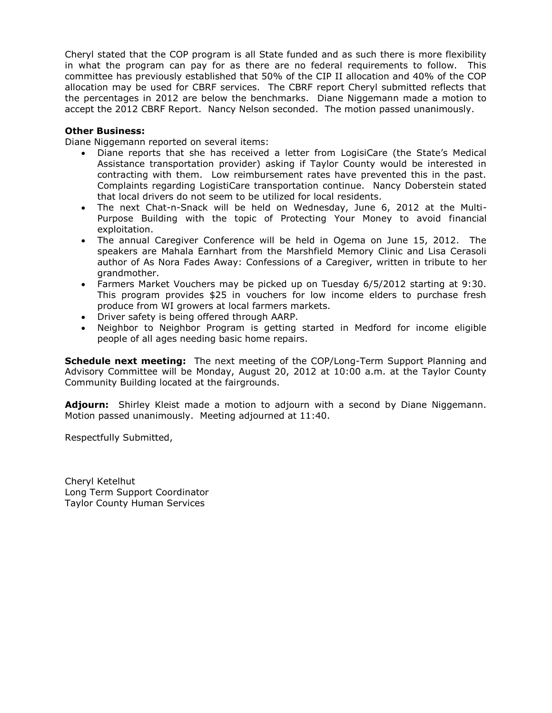Cheryl stated that the COP program is all State funded and as such there is more flexibility in what the program can pay for as there are no federal requirements to follow. This committee has previously established that 50% of the CIP II allocation and 40% of the COP allocation may be used for CBRF services. The CBRF report Cheryl submitted reflects that the percentages in 2012 are below the benchmarks. Diane Niggemann made a motion to accept the 2012 CBRF Report. Nancy Nelson seconded. The motion passed unanimously.

# **Other Business:**

Diane Niggemann reported on several items:

- Diane reports that she has received a letter from LogisiCare (the State's Medical Assistance transportation provider) asking if Taylor County would be interested in contracting with them. Low reimbursement rates have prevented this in the past. Complaints regarding LogistiCare transportation continue. Nancy Doberstein stated that local drivers do not seem to be utilized for local residents.
- The next Chat-n-Snack will be held on Wednesday, June 6, 2012 at the Multi-Purpose Building with the topic of Protecting Your Money to avoid financial exploitation.
- The annual Caregiver Conference will be held in Ogema on June 15, 2012. The speakers are Mahala Earnhart from the Marshfield Memory Clinic and Lisa Cerasoli author of As Nora Fades Away: Confessions of a Caregiver, written in tribute to her grandmother.
- Farmers Market Vouchers may be picked up on Tuesday 6/5/2012 starting at 9:30. This program provides \$25 in vouchers for low income elders to purchase fresh produce from WI growers at local farmers markets.
- Driver safety is being offered through AARP.
- Neighbor to Neighbor Program is getting started in Medford for income eligible people of all ages needing basic home repairs.

**Schedule next meeting:** The next meeting of the COP/Long-Term Support Planning and Advisory Committee will be Monday, August 20, 2012 at 10:00 a.m. at the Taylor County Community Building located at the fairgrounds.

**Adjourn:** Shirley Kleist made a motion to adjourn with a second by Diane Niggemann. Motion passed unanimously. Meeting adjourned at 11:40.

Respectfully Submitted,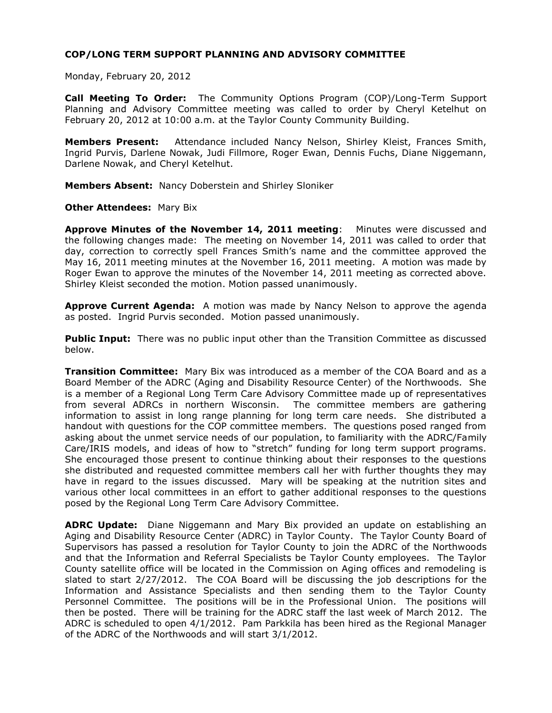Monday, February 20, 2012

**Call Meeting To Order:** The Community Options Program (COP)/Long-Term Support Planning and Advisory Committee meeting was called to order by Cheryl Ketelhut on February 20, 2012 at 10:00 a.m. at the Taylor County Community Building.

**Members Present:** Attendance included Nancy Nelson, Shirley Kleist, Frances Smith, Ingrid Purvis, Darlene Nowak, Judi Fillmore, Roger Ewan, Dennis Fuchs, Diane Niggemann, Darlene Nowak, and Cheryl Ketelhut.

**Members Absent:** Nancy Doberstein and Shirley Sloniker

**Other Attendees:** Mary Bix

**Approve Minutes of the November 14, 2011 meeting**: Minutes were discussed and the following changes made: The meeting on November 14, 2011 was called to order that day, correction to correctly spell Frances Smith's name and the committee approved the May 16, 2011 meeting minutes at the November 16, 2011 meeting. A motion was made by Roger Ewan to approve the minutes of the November 14, 2011 meeting as corrected above. Shirley Kleist seconded the motion. Motion passed unanimously.

**Approve Current Agenda:** A motion was made by Nancy Nelson to approve the agenda as posted. Ingrid Purvis seconded. Motion passed unanimously.

**Public Input:** There was no public input other than the Transition Committee as discussed below.

**Transition Committee:** Mary Bix was introduced as a member of the COA Board and as a Board Member of the ADRC (Aging and Disability Resource Center) of the Northwoods. She is a member of a Regional Long Term Care Advisory Committee made up of representatives from several ADRCs in northern Wisconsin. The committee members are gathering information to assist in long range planning for long term care needs. She distributed a handout with questions for the COP committee members. The questions posed ranged from asking about the unmet service needs of our population, to familiarity with the ADRC/Family Care/IRIS models, and ideas of how to "stretch" funding for long term support programs. She encouraged those present to continue thinking about their responses to the questions she distributed and requested committee members call her with further thoughts they may have in regard to the issues discussed. Mary will be speaking at the nutrition sites and various other local committees in an effort to gather additional responses to the questions posed by the Regional Long Term Care Advisory Committee.

**ADRC Update:** Diane Niggemann and Mary Bix provided an update on establishing an Aging and Disability Resource Center (ADRC) in Taylor County. The Taylor County Board of Supervisors has passed a resolution for Taylor County to join the ADRC of the Northwoods and that the Information and Referral Specialists be Taylor County employees. The Taylor County satellite office will be located in the Commission on Aging offices and remodeling is slated to start 2/27/2012. The COA Board will be discussing the job descriptions for the Information and Assistance Specialists and then sending them to the Taylor County Personnel Committee. The positions will be in the Professional Union. The positions will then be posted. There will be training for the ADRC staff the last week of March 2012. The ADRC is scheduled to open 4/1/2012. Pam Parkkila has been hired as the Regional Manager of the ADRC of the Northwoods and will start 3/1/2012.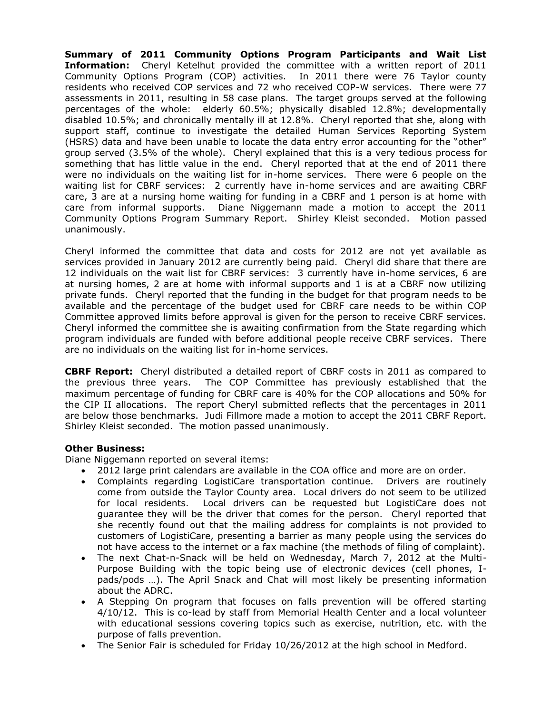**Summary of 2011 Community Options Program Participants and Wait List Information:** Cheryl Ketelhut provided the committee with a written report of 2011 Community Options Program (COP) activities. In 2011 there were 76 Taylor county residents who received COP services and 72 who received COP-W services. There were 77 assessments in 2011, resulting in 58 case plans. The target groups served at the following percentages of the whole: elderly 60.5%; physically disabled 12.8%; developmentally disabled 10.5%; and chronically mentally ill at 12.8%. Cheryl reported that she, along with support staff, continue to investigate the detailed Human Services Reporting System (HSRS) data and have been unable to locate the data entry error accounting for the "other" group served (3.5% of the whole). Cheryl explained that this is a very tedious process for something that has little value in the end. Cheryl reported that at the end of 2011 there were no individuals on the waiting list for in-home services. There were 6 people on the waiting list for CBRF services: 2 currently have in-home services and are awaiting CBRF care, 3 are at a nursing home waiting for funding in a CBRF and 1 person is at home with care from informal supports. Diane Niggemann made a motion to accept the 2011 Community Options Program Summary Report. Shirley Kleist seconded. Motion passed unanimously.

Cheryl informed the committee that data and costs for 2012 are not yet available as services provided in January 2012 are currently being paid. Cheryl did share that there are 12 individuals on the wait list for CBRF services: 3 currently have in-home services, 6 are at nursing homes, 2 are at home with informal supports and 1 is at a CBRF now utilizing private funds. Cheryl reported that the funding in the budget for that program needs to be available and the percentage of the budget used for CBRF care needs to be within COP Committee approved limits before approval is given for the person to receive CBRF services. Cheryl informed the committee she is awaiting confirmation from the State regarding which program individuals are funded with before additional people receive CBRF services. There are no individuals on the waiting list for in-home services.

**CBRF Report:** Cheryl distributed a detailed report of CBRF costs in 2011 as compared to the previous three years. The COP Committee has previously established that the maximum percentage of funding for CBRF care is 40% for the COP allocations and 50% for the CIP II allocations. The report Cheryl submitted reflects that the percentages in 2011 are below those benchmarks. Judi Fillmore made a motion to accept the 2011 CBRF Report. Shirley Kleist seconded. The motion passed unanimously.

## **Other Business:**

Diane Niggemann reported on several items:

- 2012 large print calendars are available in the COA office and more are on order.
- Complaints regarding LogistiCare transportation continue. Drivers are routinely come from outside the Taylor County area. Local drivers do not seem to be utilized for local residents. Local drivers can be requested but LogistiCare does not guarantee they will be the driver that comes for the person. Cheryl reported that she recently found out that the mailing address for complaints is not provided to customers of LogistiCare, presenting a barrier as many people using the services do not have access to the internet or a fax machine (the methods of filing of complaint).
- The next Chat-n-Snack will be held on Wednesday, March 7, 2012 at the Multi-Purpose Building with the topic being use of electronic devices (cell phones, Ipads/pods …). The April Snack and Chat will most likely be presenting information about the ADRC.
- A Stepping On program that focuses on falls prevention will be offered starting 4/10/12. This is co-lead by staff from Memorial Health Center and a local volunteer with educational sessions covering topics such as exercise, nutrition, etc. with the purpose of falls prevention.
- The Senior Fair is scheduled for Friday 10/26/2012 at the high school in Medford.